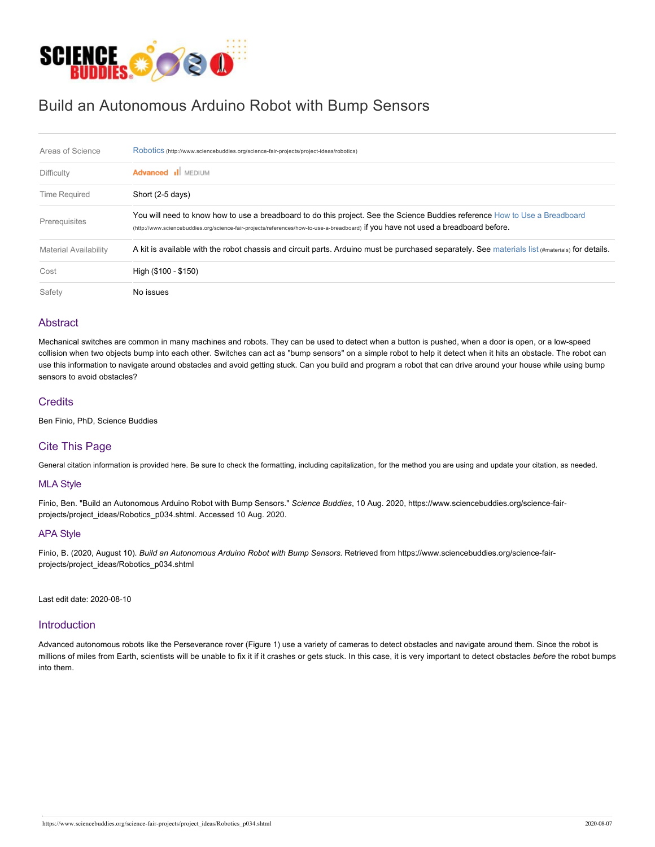

# Build an Autonomous Arduino Robot with Bump Sensors

| Areas of Science             | Robotics (http://www.sciencebuddies.org/science-fair-projects/project-ideas/robotics)                                                                                                                                                                             |  |  |  |  |
|------------------------------|-------------------------------------------------------------------------------------------------------------------------------------------------------------------------------------------------------------------------------------------------------------------|--|--|--|--|
| <b>Difficulty</b>            | <b>Advanced il</b> MEDIUM                                                                                                                                                                                                                                         |  |  |  |  |
| <b>Time Required</b>         | Short (2-5 days)                                                                                                                                                                                                                                                  |  |  |  |  |
| Prerequisites                | You will need to know how to use a breadboard to do this project. See the Science Buddies reference How to Use a Breadboard<br>(http://www.sciencebuddies.org/science-fair-projects/references/how-to-use-a-breadboard) if you have not used a breadboard before. |  |  |  |  |
| <b>Material Availability</b> | A kit is available with the robot chassis and circuit parts. Arduino must be purchased separately. See materials list $(H_{\text{materia}})$ for details.                                                                                                         |  |  |  |  |
| Cost                         | High (\$100 - \$150)                                                                                                                                                                                                                                              |  |  |  |  |
| Safety                       | No issues                                                                                                                                                                                                                                                         |  |  |  |  |

# **Abstract**

Mechanical switches are common in many machines and robots. They can be used to detect when a button is pushed, when a door is open, or a low-speed collision when two objects bump into each other. Switches can act as "bump sensors" on a simple robot to help it detect when it hits an obstacle. The robot can use this information to navigate around obstacles and avoid getting stuck. Can you build and program a robot that can drive around your house while using bump sensors to avoid obstacles?

# **Credits**

Ben Finio, PhD, Science Buddies

# Cite This Page

General citation information is provided here. Be sure to check the formatting, including capitalization, for the method you are using and update your citation, as needed.

# MLA Style

Finio, Ben. "Build an Autonomous Arduino Robot with Bump Sensors." *Science Buddies*, 10 Aug. 2020, https://www.sciencebuddies.org/science-fairprojects/project\_ideas/Robotics\_p034.shtml. Accessed 10 Aug. 2020.

# APA Style

Finio, B. (2020, August 10). *Build an Autonomous Arduino Robot with Bump Sensors.* Retrieved from https://www.sciencebuddies.org/science-fairprojects/project\_ideas/Robotics\_p034.shtml

Last edit date: 2020-08-10

# **Introduction**

Advanced autonomous robots like the Perseverance rover (Figure 1) use a variety of cameras to detect obstacles and navigate around them. Since the robot is millions of miles from Earth, scientists will be unable to fix it if it crashes or gets stuck. In this case, it is very important to detect obstacles *before* the robot bumps into them.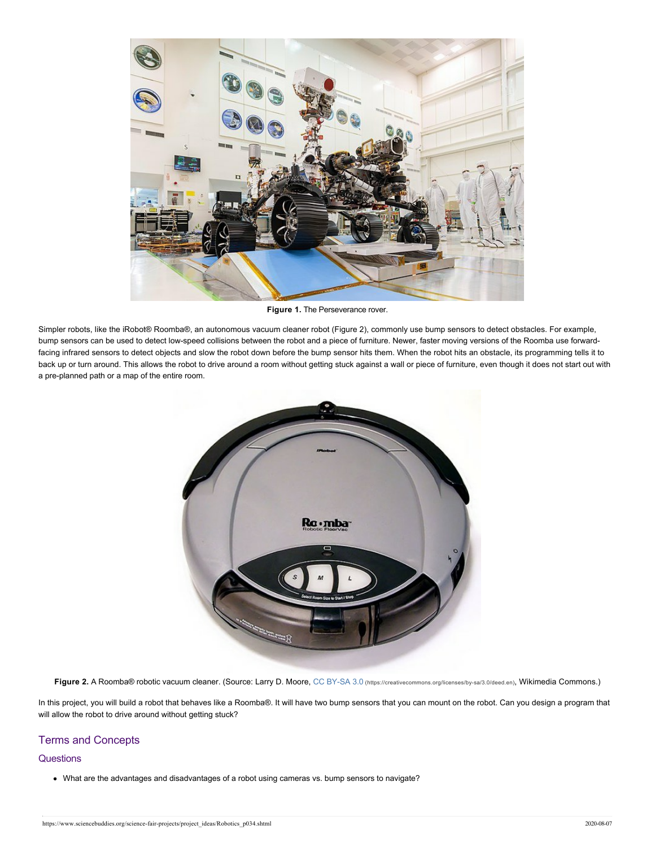

**Figure 1.** The Perseverance rover.

Simpler robots, like the iRobot® Roomba®, an autonomous vacuum cleaner robot (Figure 2), commonly use bump sensors to detect obstacles. For example, bump sensors can be used to detect low-speed collisions between the robot and a piece of furniture. Newer, faster moving versions of the Roomba use forwardfacing infrared sensors to detect objects and slow the robot down before the bump sensor hits them. When the robot hits an obstacle, its programming tells it to back up or turn around. This allows the robot to drive around a room without getting stuck against a wall or piece of furniture, even though it does not start out with a pre-planned path or a map of the entire room.



Figure 2. A Roomba® robotic vacuum cleaner. (Source: Larry D. Moore, CC BY-SA 3.0 [\(https://creativecommons.org/licenses/by-sa/3.0/deed.en\)](https://creativecommons.org/licenses/by-sa/3.0/deed.en), Wikimedia Commons.)

In this project, you will build a robot that behaves like a Roomba®. It will have two bump sensors that you can mount on the robot. Can you design a program that will allow the robot to drive around without getting stuck?

# Terms and Concepts

# **Questions**

What are the advantages and disadvantages of a robot using cameras vs. bump sensors to navigate?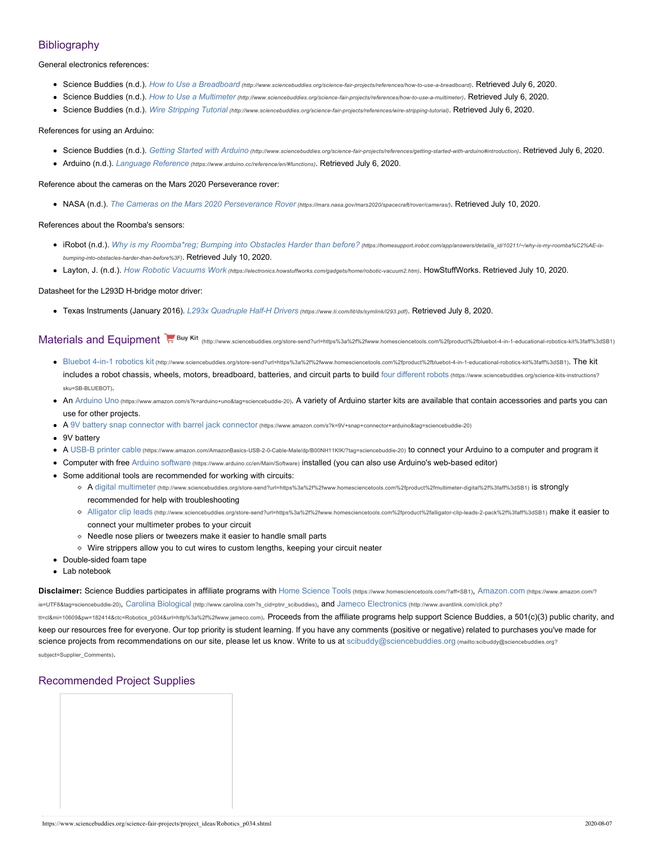# **Bibliography**

General electronics references:

- Science Buddies (n.d.). *How to Use a Breadboard [\(http://www.sciencebuddies.org/science-fair-projects/references/how-to-use-a-breadboard\)](https://www.sciencebuddies.org/science-fair-projects/references/how-to-use-a-breadboard)*. Retrieved July 6, 2020.
- Science Buddies (n.d.). *How to Use a Multimeter [\(http://www.sciencebuddies.org/science-fair-projects/references/how-to-use-a-multimeter\)](https://www.sciencebuddies.org/science-fair-projects/references/how-to-use-a-multimeter)*. Retrieved July 6, 2020.
- Science Buddies (n.d.). *Wire Stripping Tutorial [\(http://www.sciencebuddies.org/science-fair-projects/references/wire-stripping-tutorial\)](https://www.sciencebuddies.org/science-fair-projects/references/wire-stripping-tutorial)*. Retrieved July 6, 2020.

#### References for using an Arduino:

- Science Buddies (n.d.). *Getting Started with Arduino [\(http://www.sciencebuddies.org/science-fair-projects/references/getting-started-with-arduino#introduction\)](https://www.sciencebuddies.org/science-fair-projects/references/getting-started-with-arduino#introduction)*. Retrieved July 6, 2020.
- Arduino (n.d.). *Language Reference [\(https://www.arduino.cc/reference/en/#functions\)](https://www.arduino.cc/reference/en/#functions)*. Retrieved July 6, 2020.

#### Reference about the cameras on the Mars 2020 Perseverance rover:

NASA (n.d.). *[The Cameras on the Mars 2020 Perseverance Rover](https://mars.nasa.gov/mars2020/spacecraft/rover/cameras/) (https://mars.nasa.gov/mars2020/spacecraft/rover/cameras/)*. Retrieved July 10, 2020.

#### References about the Roomba's sensors:

- iRobot (n.d.). [Why is my Roomba\\*reg; Bumping into Obstacles Harder than before?](https://homesupport.irobot.com/app/answers/detail/a_id/10211/~/why-is-my-roomba%C2%AE-is-bumping-into-obstacles-harder-than-before%3F) (https://homesupport.irobot.com/app/answers/detail/a\_id/10211/-/why-is-my-roomba%C2%AE-is*bumping-into-obstacles-harder-than-before%3F)*. Retrieved July 10, 2020.
- Layton, J. (n.d.). *How Robotic Vacuums Work [\(https://electronics.howstuffworks.com/gadgets/home/robotic-vacuum2.htm\)](https://electronics.howstuffworks.com/gadgets/home/robotic-vacuum2.htm)*. HowStuffWorks. Retrieved July 10, 2020.

#### Datasheet for the L293D H-bridge motor driver:

Texas Instruments (January 2016). *[L293x Quadruple Half-H Drivers](https://www.ti.com/lit/ds/symlink/l293.pdf) (https://www.ti.com/lit/ds/symlink/l293.pdf)*. Retrieved July 8, 2020.

Materials and Equipment<sup>1</sup><sub>17</sub> Buy Kit <sub>[\(http://www.sciencebuddies.org/store-send?url=https%3a%2f%2fwww.homesciencetools.com%2fproduct%2fbluebot-4-in-1-educational-robotics-kit%3faff%3dSB1\)](https://www.sciencebuddies.org/store-send?url=https%3A%2F%2Fwww.homesciencetools.com%2Fproduct%2Fbluebot-4-in-1-educational-robotics-kit%3Faff%3DSB1)</sub>

- Bluebot 4-in-1 robotics kit [\(http://www.sciencebuddies.org/store-send?url=https%3a%2f%2fwww.homesciencetools.com%2fproduct%2fbluebot-4-in-1-educational-robotics-kit%3faff%3dSB1\)](https://www.sciencebuddies.org/store-send?url=https%3A%2F%2Fwww.homesciencetools.com%2Fproduct%2Fbluebot-4-in-1-educational-robotics-kit%3Faff%3DSB1). The kit includes a robot chassis, wheels, motors, breadboard, batteries, and circuit parts to build four different robots [\(https://www.sciencebuddies.org/science-kits-instructions?](https://www.sciencebuddies.org/science-kits-instructions?sku=SB-BLUEBOT) sku=SB-BLUEBOT).
- An Arduino Uno [\(https://www.amazon.com/s?k=arduino+uno&tag=sciencebuddie-20\)](https://www.amazon.com/s?k=arduino+uno&tag=sciencebuddie-20). A variety of Arduino starter kits are available that contain accessories and parts you can use for other projects.
- A [9V battery snap connector with barrel jack connector](https://www.amazon.com/s?k=9V+snap+connector+arduino&tag=sciencebuddie-20) (https://www.amazon.com/s?k=9V+snap+connector+arduino&tag=sciencebuddie-20)
- 9V battery
- A USB-B printer cable [\(https://www.amazon.com/AmazonBasics-USB-2-0-Cable-Male/dp/B00NH11KIK/?tag=sciencebuddie-20\)](https://www.amazon.com/AmazonBasics-USB-2-0-Cable-Male/dp/B00NH11KIK/?tag=sciencebuddie-20) to connect your Arduino to a computer and program it
- Computer with free Arduino software [\(https://www.arduino.cc/en/Main/Software\)](https://www.arduino.cc/en/Main/Software) installed (you can also use Arduino's web-based editor)
- Some additional tools are recommended for working with circuits:
	- A digital multimeter [\(http://www.sciencebuddies.org/store-send?url=https%3a%2f%2fwww.homesciencetools.com%2fproduct%2fmultimeter-digital%2f%3faff%3dSB1\)](https://www.sciencebuddies.org/store-send?url=https%3A%2F%2Fwww.homesciencetools.com%2Fproduct%2Fmultimeter-digital%2F%3Faff%3DSB1) is strongly recommended for help with troubleshooting
	- Alligator clip leads [\(http://www.sciencebuddies.org/store-send?url=https%3a%2f%2fwww.homesciencetools.com%2fproduct%2falligator-clip-leads-2-pack%2f%3faff%3dSB1\)](https://www.sciencebuddies.org/store-send?url=https%3A%2F%2Fwww.homesciencetools.com%2Fproduct%2Falligator-clip-leads-2-pack%2F%3Faff%3DSB1) make it easier to connect your multimeter probes to your circuit
	- Needle nose pliers or tweezers make it easier to handle small parts
	- Wire strippers allow you to cut wires to custom lengths, keeping your circuit neater
- Double-sided foam tape
- $\bullet$  Lab notebook

**Disclaimer:** Science Buddies participates in affiliate programs with Home Science Tools [\(https://www.homesciencetools.com/?aff=SB1\)](https://www.homesciencetools.com/?aff=SB1), Amazon.com [\(https://www.amazon.com/?](https://www.amazon.com/?ie=UTF8&tag=sciencebuddie-20)

ie=UTF8&tag=sciencebuddie-20), Carolina Biological [\(http://www.carolina.com?s\\_cid=ptnr\\_scibuddies\)](http://www.carolina.com?s_cid=ptnr_scibuddies), and Jameco Electronics (http://www.avantlink.com/click.php?

tt=cl&mi=10609&pw=182414&ctc=Robotics\_p034&url=http%3a%2f%2fwww.jameco.com). Proceeds from the [affiliate programs help support Science Buddies](http://www.avantlink.com/click.php?tt=cl&mi=10609&pw=182414&ctc=Robotics_p034&url=http%3A%2F%2Fwww.jameco.com), a 501(c)(3) public charity, and keep our resources free for everyone. Our top priority is student learning. If you have any comments (positive or negative) related to purchases you've made for science projects from recommendations on our site, please let us know. Write to us at [scibuddy@sciencebuddies.org](mailto:scibuddy@sciencebuddies.org?subject=Supplier_Comments) (mailto:scibuddy@sciencebuddies.org? subject=Supplier\_Comments).

# Recommended Project Supplies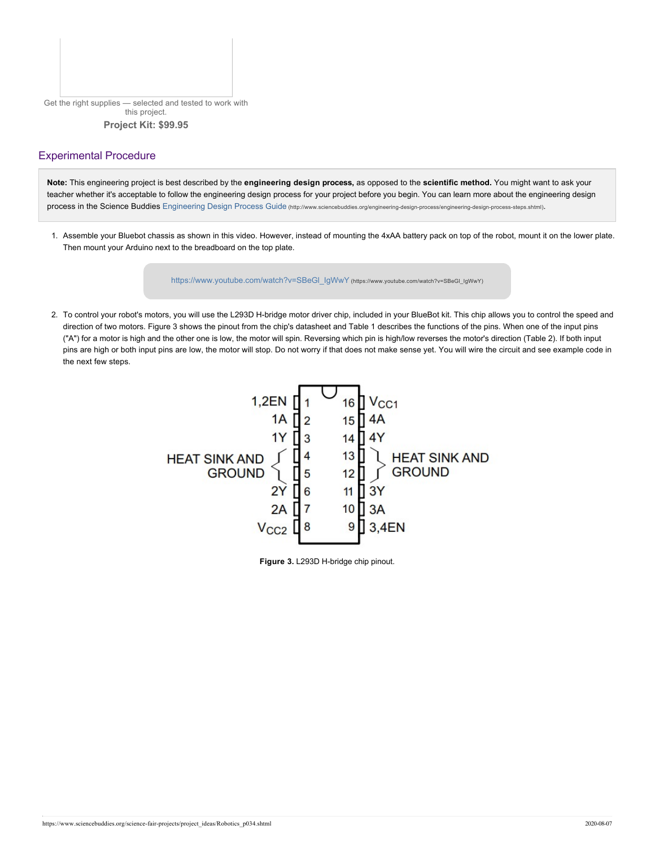Get the right supplies — selected and tested to work with this project. **Project Kit: \$99.95**

# Experimental Procedure

**Note:** This engineering project is best described by the **engineering design process,** as opposed to the **scientific method.** You might want to ask your teacher whether it's acceptable to follow the engineering design process for your project before you begin. You can learn more about the engineering design process in the Science Buddies Engineering Design Process Guide [\(http://www.sciencebuddies.org/engineering-design-process/engineering-design-process-steps.shtml\)](https://www.sciencebuddies.org/engineering-design-process/engineering-design-process-steps.shtml).

1. Assemble your Bluebot chassis as shown in this video. However, instead of mounting the 4xAA battery pack on top of the robot, mount it on the lower plate. Then mount your Arduino next to the breadboard on the top plate.

[https://www.youtube.com/watch?v=SBeGl\\_IgWwY](https://www.youtube.com/watch?v=SBeGl_IgWwY) (https://www.youtube.com/watch?v=SBeGl\_IgWwY)

2. To control your robot's motors, you will use the L293D H-bridge motor driver chip, included in your BlueBot kit. This chip allows you to control the speed and direction of two motors. Figure 3 shows the pinout from the chip's datasheet and Table 1 describes the functions of the pins. When one of the input pins ("A") for a motor is high and the other one is low, the motor will spin. Reversing which pin is high/low reverses the motor's direction (Table 2). If both input pins are high or both input pins are low, the motor will stop. Do not worry if that does not make sense yet. You will wire the circuit and see example code in the next few steps.



**Figure 3.** L293D H-bridge chip pinout.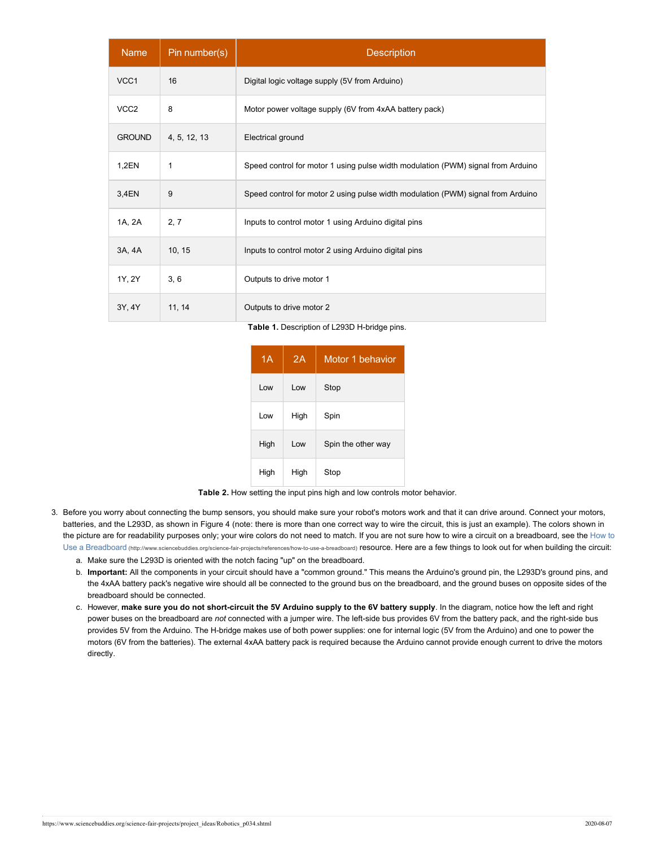| <b>Name</b>      | Pin number(s) | <b>Description</b>                                                               |  |  |
|------------------|---------------|----------------------------------------------------------------------------------|--|--|
| VCC1             | 16            | Digital logic voltage supply (5V from Arduino)                                   |  |  |
| VCC <sub>2</sub> | 8             | Motor power voltage supply (6V from 4xAA battery pack)                           |  |  |
| <b>GROUND</b>    | 4, 5, 12, 13  | Electrical ground                                                                |  |  |
| 1,2EN            | 1             | Speed control for motor 1 using pulse width modulation (PWM) signal from Arduino |  |  |
| 3,4EN            | 9             | Speed control for motor 2 using pulse width modulation (PWM) signal from Arduino |  |  |
| 1A, 2A           | 2, 7          | Inputs to control motor 1 using Arduino digital pins                             |  |  |
| 3A, 4A           | 10, 15        | Inputs to control motor 2 using Arduino digital pins                             |  |  |
| 1Y, 2Y           | 3, 6          | Outputs to drive motor 1                                                         |  |  |
| 3Y, 4Y           | 11, 14        | Outputs to drive motor 2                                                         |  |  |

**Table 1.** Description of L293D H-bridge pins.

| 1A   | 2A   | Motor 1 behavior   |
|------|------|--------------------|
| l ow | l ow | Stop               |
| Low  | High | Spin               |
| High | Low  | Spin the other way |
| High | High | Stop               |

**Table 2.** How setting the input pins high and low controls motor behavior.

3. Before you worry about connecting the bump sensors, you should make sure your robot's motors work and that it can drive around. Connect your motors, batteries, and the L293D, as shown in Figure 4 (note: there is more than one correct way to wire the circuit, this is just an example). The colors shown in [the picture are for readability purposes only; your wire colors do not need to match.](https://www.sciencebuddies.org/science-fair-projects/references/how-to-use-a-breadboard) If you are not sure how to wire a circuit on a breadboard, see the How to Use a Breadboard (http://www.sciencebuddies.org/science-fair-projects/references/how-to-use-a-breadboard) resource. Here are a few things to look out for when building the circuit:

a. Make sure the L293D is oriented with the notch facing "up" on the breadboard.

- b. **Important:** All the components in your circuit should have a "common ground." This means the Arduino's ground pin, the L293D's ground pins, and the 4xAA battery pack's negative wire should all be connected to the ground bus on the breadboard, and the ground buses on opposite sides of the breadboard should be connected.
- c. However, **make sure you do not short-circuit the 5V Arduino supply to the 6V battery supply**. In the diagram, notice how the left and right power buses on the breadboard are *not* connected with a jumper wire. The left-side bus provides 6V from the battery pack, and the right-side bus provides 5V from the Arduino. The H-bridge makes use of both power supplies: one for internal logic (5V from the Arduino) and one to power the motors (6V from the batteries). The external 4xAA battery pack is required because the Arduino cannot provide enough current to drive the motors directly.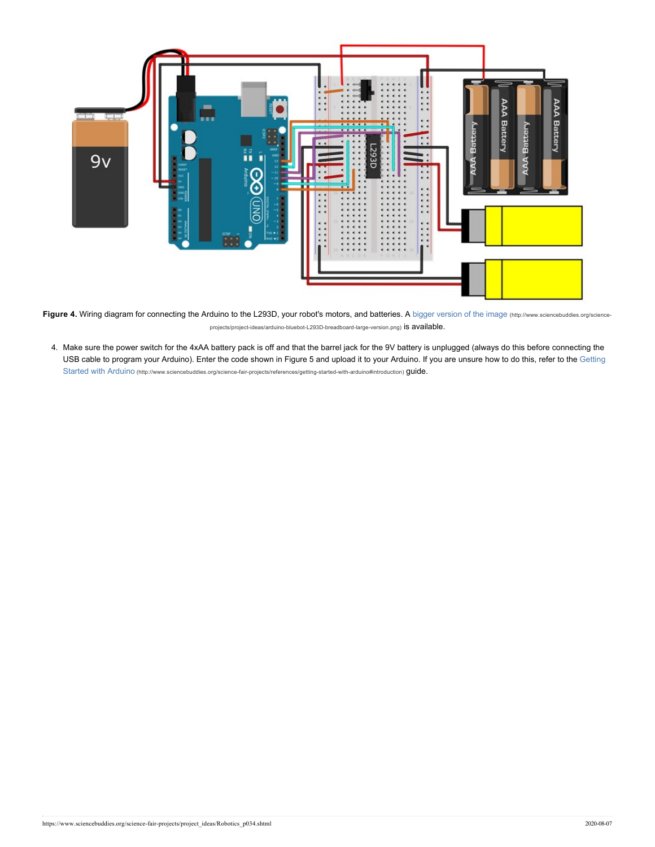

Figure 4. Wiring diagram for connecting the Arduino to the L293D, your robot's motors, and batteries. A [bigger version of the image](https://www.sciencebuddies.org/science-projects/project-ideas/arduino-bluebot-L293D-breadboard-large-version.png) (http://www.sciencebuddies.org/scienceprojects/project-ideas/arduino-bluebot-L293D-breadboard-large-version.png) is available.

4. Make sure the power switch for the 4xAA battery pack is off and that the barrel jack for the 9V battery is unplugged (always do this before connecting the [USB cable to program your Arduino\). Enter the code shown in Figure 5 and upload it to your Ardu](https://www.sciencebuddies.org/science-fair-projects/references/getting-started-with-arduino#introduction)ino. If you are unsure how to do this, refer to the Getting Started with Arduino (http://www.sciencebuddies.org/science-fair-projects/references/getting-started-with-arduino#introduction) guide.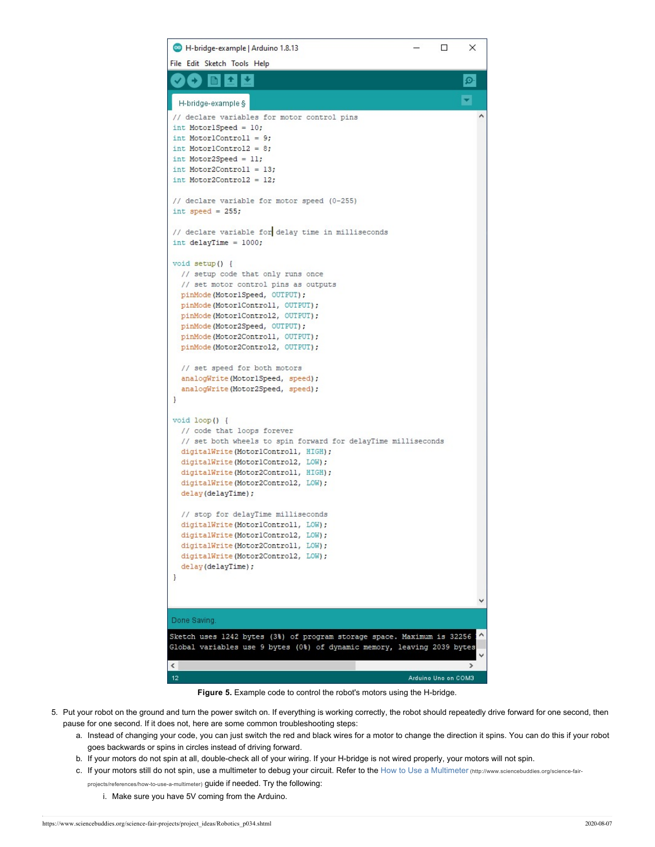

**Figure 5.** Example code to control the robot's motors using the H-bridge.

- 5. Put your robot on the ground and turn the power switch on. If everything is working correctly, the robot should repeatedly drive forward for one second, then pause for one second. If it does not, here are some common troubleshooting steps:
	- a. Instead of changing your code, you can just switch the red and black wires for a motor to change the direction it spins. You can do this if your robot goes backwards or spins in circles instead of driving forward.
	- b. If your motors do not spin at all, double-check all of your wiring. If your H-bridge is not wired properly, your motors will not spin.
	- c. If your motors still do not spin, use a multimeter to debug your circuit. Refer to the [How to Use a Multimeter](https://www.sciencebuddies.org/science-fair-projects/references/how-to-use-a-multimeter) (nttp://www.sciencebuddies.org/science-fairprojects/references/how-to-use-a-multimeter) guide if needed. Try the following:
		- i. Make sure you have 5V coming from the Arduino.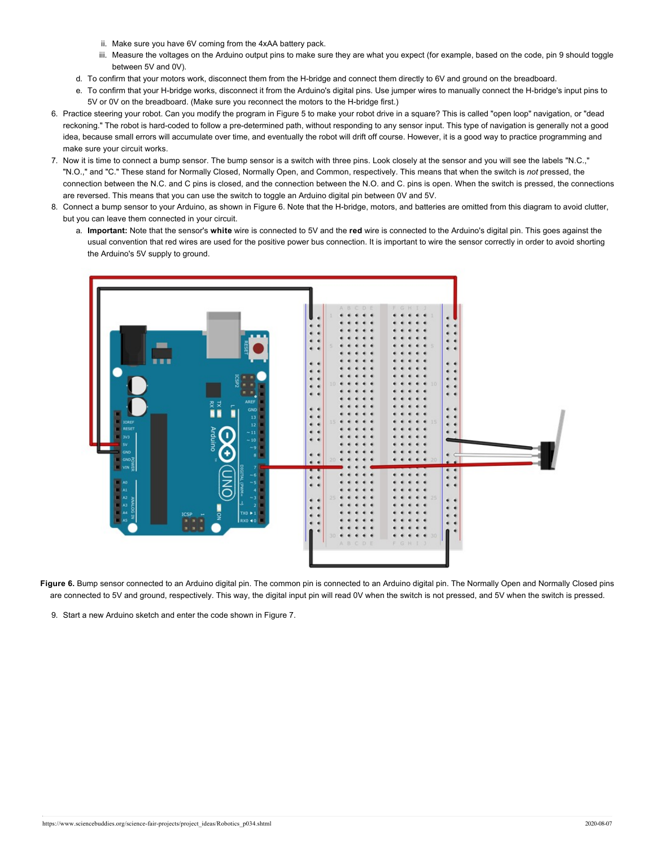- ii. Make sure you have 6V coming from the 4xAA battery pack.
- iii. Measure the voltages on the Arduino output pins to make sure they are what you expect (for example, based on the code, pin 9 should toggle between 5V and 0V).
- d. To confirm that your motors work, disconnect them from the H-bridge and connect them directly to 6V and ground on the breadboard.
- e. To confirm that your H-bridge works, disconnect it from the Arduino's digital pins. Use jumper wires to manually connect the H-bridge's input pins to 5V or 0V on the breadboard. (Make sure you reconnect the motors to the H-bridge first.)
- 6. Practice steering your robot. Can you modify the program in Figure 5 to make your robot drive in a square? This is called "open loop" navigation, or "dead reckoning." The robot is hard-coded to follow a pre-determined path, without responding to any sensor input. This type of navigation is generally not a good idea, because small errors will accumulate over time, and eventually the robot will drift off course. However, it is a good way to practice programming and make sure your circuit works.
- 7. Now it is time to connect a bump sensor. The bump sensor is a switch with three pins. Look closely at the sensor and you will see the labels "N.C.," "N.O.," and "C." These stand for Normally Closed, Normally Open, and Common, respectively. This means that when the switch is *not* pressed, the connection between the N.C. and C pins is closed, and the connection between the N.O. and C. pins is open. When the switch is pressed, the connections are reversed. This means that you can use the switch to toggle an Arduino digital pin between 0V and 5V.
- 8. Connect a bump sensor to your Arduino, as shown in Figure 6. Note that the H-bridge, motors, and batteries are omitted from this diagram to avoid clutter, but you can leave them connected in your circuit.
	- a. **Important:** Note that the sensor's **white** wire is connected to 5V and the **red** wire is connected to the Arduino's digital pin. This goes against the usual convention that red wires are used for the positive power bus connection. It is important to wire the sensor correctly in order to avoid shorting the Arduino's 5V supply to ground.



**Figure 6.** Bump sensor connected to an Arduino digital pin. The common pin is connected to an Arduino digital pin. The Normally Open and Normally Closed pins are connected to 5V and ground, respectively. This way, the digital input pin will read 0V when the switch is not pressed, and 5V when the switch is pressed.

9. Start a new Arduino sketch and enter the code shown in Figure 7.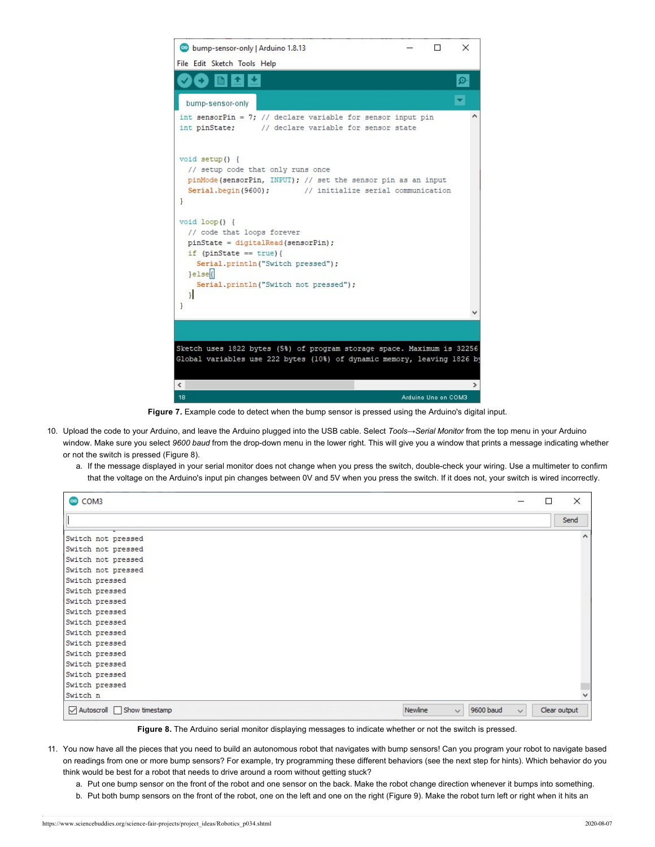

**Figure 7.** Example code to detect when the bump sensor is pressed using the Arduino's digital input.

- 10. Upload the code to your Arduino, and leave the Arduino plugged into the USB cable. Select *Tools→Serial Monitor* from the top menu in your Arduino window. Make sure you select *9600 baud* from the drop-down menu in the lower right. This will give you a window that prints a message indicating whether or not the switch is pressed (Figure 8).
	- a. If the message displayed in your serial monitor does not change when you press the switch, double-check your wiring. Use a multimeter to confirm that the voltage on the Arduino's input pin changes between 0V and 5V when you press the switch. If it does not, your switch is wired incorrectly.

| COM3                                   |                           | П            | $\times$     |
|----------------------------------------|---------------------------|--------------|--------------|
|                                        |                           |              | Send         |
| Switch not pressed                     |                           |              | $\wedge$     |
| Switch not pressed                     |                           |              |              |
| Switch not pressed                     |                           |              |              |
| Switch not pressed                     |                           |              |              |
| Switch pressed                         |                           |              |              |
| Switch pressed                         |                           |              |              |
| Switch pressed                         |                           |              |              |
| Switch pressed                         |                           |              |              |
| Switch pressed                         |                           |              |              |
| Switch pressed                         |                           |              |              |
| Switch pressed                         |                           |              |              |
| Switch pressed                         |                           |              |              |
| Switch pressed                         |                           |              |              |
| Switch pressed                         |                           |              |              |
| Switch pressed                         |                           |              |              |
| Switch n                               |                           |              |              |
| ○ Autoscroll Show timestamp<br>Newline | 9600 baud<br>$\checkmark$ | $\checkmark$ | Clear output |

**Figure 8.** The Arduino serial monitor displaying messages to indicate whether or not the switch is pressed.

- 11. You now have all the pieces that you need to build an autonomous robot that navigates with bump sensors! Can you program your robot to navigate based on readings from one or more bump sensors? For example, try programming these different behaviors (see the next step for hints). Which behavior do you think would be best for a robot that needs to drive around a room without getting stuck?
	- a. Put one bump sensor on the front of the robot and one sensor on the back. Make the robot change direction whenever it bumps into something.
	- b. Put both bump sensors on the front of the robot, one on the left and one on the right (Figure 9). Make the robot turn left or right when it hits an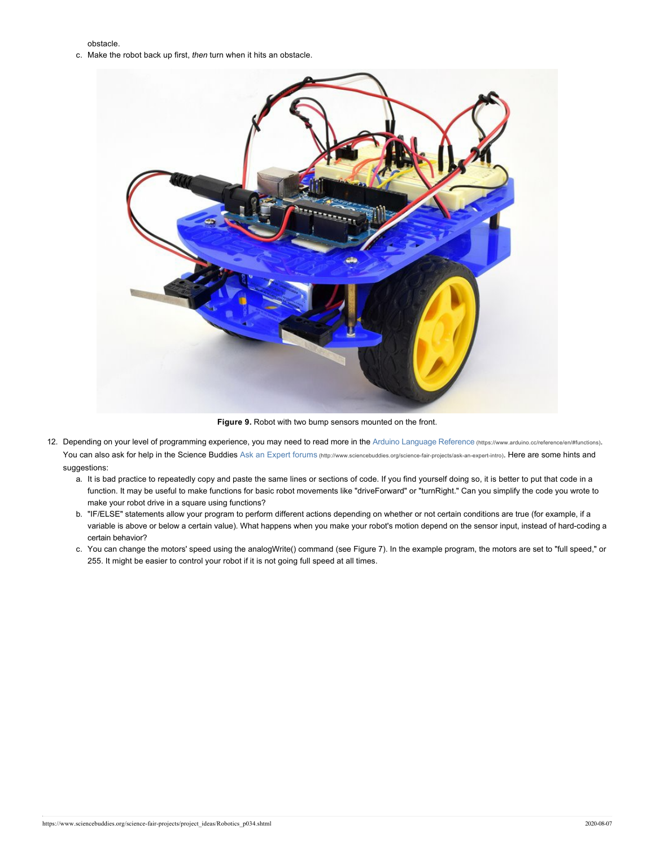obstacle.

c. Make the robot back up first, *then* turn when it hits an obstacle.



**Figure 9.** Robot with two bump sensors mounted on the front.

- 12. Depending on your level of programming experience, you may need to read more in the [Arduino Language Reference](https://www.arduino.cc/reference/en/#functions) (https://www.arduino.cc/reference/en/#functions). You can also ask for help in the Science Buddies Ask an Expert forums [\(http://www.sciencebuddies.org/science-fair-projects/ask-an-expert-intro\)](https://www.sciencebuddies.org/science-fair-projects/ask-an-expert-intro). Here are some hints and suggestions:
	- a. It is bad practice to repeatedly copy and paste the same lines or sections of code. If you find yourself doing so, it is better to put that code in a function. It may be useful to make functions for basic robot movements like "driveForward" or "turnRight." Can you simplify the code you wrote to make your robot drive in a square using functions?
	- b. "IF/ELSE" statements allow your program to perform different actions depending on whether or not certain conditions are true (for example, if a variable is above or below a certain value). What happens when you make your robot's motion depend on the sensor input, instead of hard-coding a certain behavior?
	- c. You can change the motors' speed using the analogWrite() command (see Figure 7). In the example program, the motors are set to "full speed," or 255. It might be easier to control your robot if it is not going full speed at all times.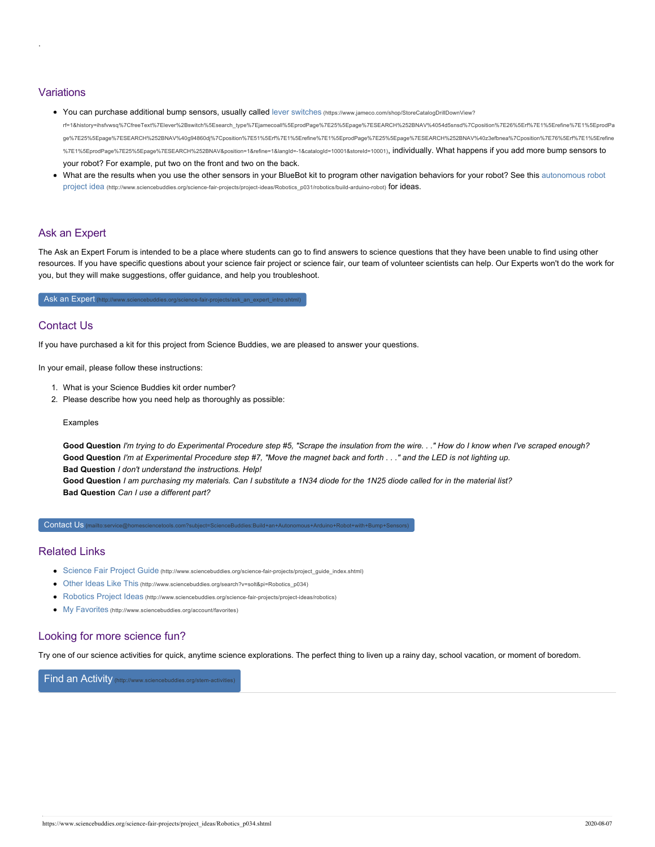# Variations

.

- You can purchase additional bump sensors, usually called lever switches (https://www.jameco.com/shop/StoreCatalogDrillDownView? rf=1&history=ihsfvwsq%7CfreeText%7Elever%2Bswitch%5Esearch\_type%7Ejame[coall%5EprodPage%7E25%5Epage%7ESEARCH%252BNAV%4054d5snsd%7Cposition%7E26%5Erf%7E1%5Erefine%7E1%5EprodPa](https://www.jameco.com/shop/StoreCatalogDrillDownView?rf=1&history=ihsfvwsq%7CfreeText~lever%2Bswitch%5Esearch_type~jamecoall%5EprodPage~25%5Epage~SEARCH%252BNAV%4054d5snsd%7Cposition~26%5Erf~1%5Erefine~1%5EprodPage~25%5Epage~SEARCH%252BNAV%40g94860dj%7Cposition~51%5Erf~1%5Erefine~1%5EprodPage~25%5Epage~SEARCH%252BNAV%40z3efbnea%7Cposition~76%5Erf~1%5Erefine~1%5EprodPage~25%5Epage~SEARCH%252BNAV&position=1&refine=1&langId=-1&catalogId=10001&storeId=10001) ge%7E25%5Epage%7ESEARCH%252BNAV%40g94860dj%7Cposition%7E51%5Erf%7E1%5Erefine%7E1%5EprodPage%7E25%5Epage%7ESEARCH%252BNAV%40z3efbnea%7Cposition%7E76%5Erf%7E1%5Erefine %7E1%5EprodPage%7E25%5Epage%7ESEARCH%252BNAV&position=1&refine=1&langId=-1&catalogId=10001&storeId=10001), individually. What happens if you add more bump sensors to your robot? For example, put two on the front and two on the back.
- [What are the results when you use the other sensors in your BlueBot kit to program other na](https://www.sciencebuddies.org/science-fair-projects/project-ideas/Robotics_p031/robotics/build-arduino-robot)vigation behaviors for your robot? See this autonomous robot project idea (http://www.sciencebuddies.org/science-fair-projects/project-ideas/Robotics p031/robotics/build-arduino-robot) for ideas.

# Ask an Expert

The Ask an Expert Forum is intended to be a place where students can go to find answers to science questions that they have been unable to find using other resources. If you have specific questions about your science fair project or science fair, our team of volunteer scientists can help. Our Experts won't do the work for you, but they will make suggestions, offer guidance, and help you troubleshoot.

Ask an Expert (http://www.sciencebuddies.org/science-fair-projects/ask\_an\_expert\_intro.shtml

# Contact Us

If you have purchased a kit for this project from Science Buddies, we are pleased to answer your questions.

In your email, please follow these instructions:

- 1. What is your Science Buddies kit order number?
- 2. Please describe how you need help as thoroughly as possible:

Examples

**Good Question** *I'm trying to do Experimental Procedure step #5, "Scrape the insulation from the wire. . ." How do I know when I've scraped enough?* **Good Question** *I'm at Experimental Procedure step #7, "Move the magnet back and forth . . ." and the LED is not lighting up.* **Bad Question** *I don't understand the instructions. Help!*

**Good Question** *I am purchasing my materials. Can I substitute a 1N34 diode for the 1N25 diode called for in the material list?* **Bad Question** *Can I use a different part?*

Contact Us [\(mailto:service@homesciencetools.com?subject=ScienceBuddies:Build+an+Autonomous+Arduino+Robot+with+Bump+Sensors\)](mailto:service@homesciencetools.com?subject=ScienceBuddies:Build+an+Autonomous+Arduino+Robot+with+Bump+Sensors)

#### Related Links

- Science Fair Project Guide [\(http://www.sciencebuddies.org/science-fair-projects/project\\_guide\\_index.shtml\)](https://www.sciencebuddies.org/science-fair-projects/project_guide_index.shtml)
- Other Ideas Like This [\(http://www.sciencebuddies.org/search?v=solt&pi=Robotics\\_p034\)](https://www.sciencebuddies.org/search?v=solt&pi=Robotics_p034)
- Robotics Project Ideas [\(http://www.sciencebuddies.org/science-fair-projects/project-ideas/robotics\)](https://www.sciencebuddies.org/science-fair-projects/project-ideas/robotics)
- My Favorites [\(http://www.sciencebuddies.org/account/favorites\)](https://www.sciencebuddies.org/account/favorites)

# Looking for more science fun?

Try one of our science activities for quick, anytime science explorations. The perfect thing to liven up a rainy day, school vacation, or moment of boredom.

### [Find an Activity](https://www.sciencebuddies.org/stem-activities) (http://www.sciencebuddies.org/st